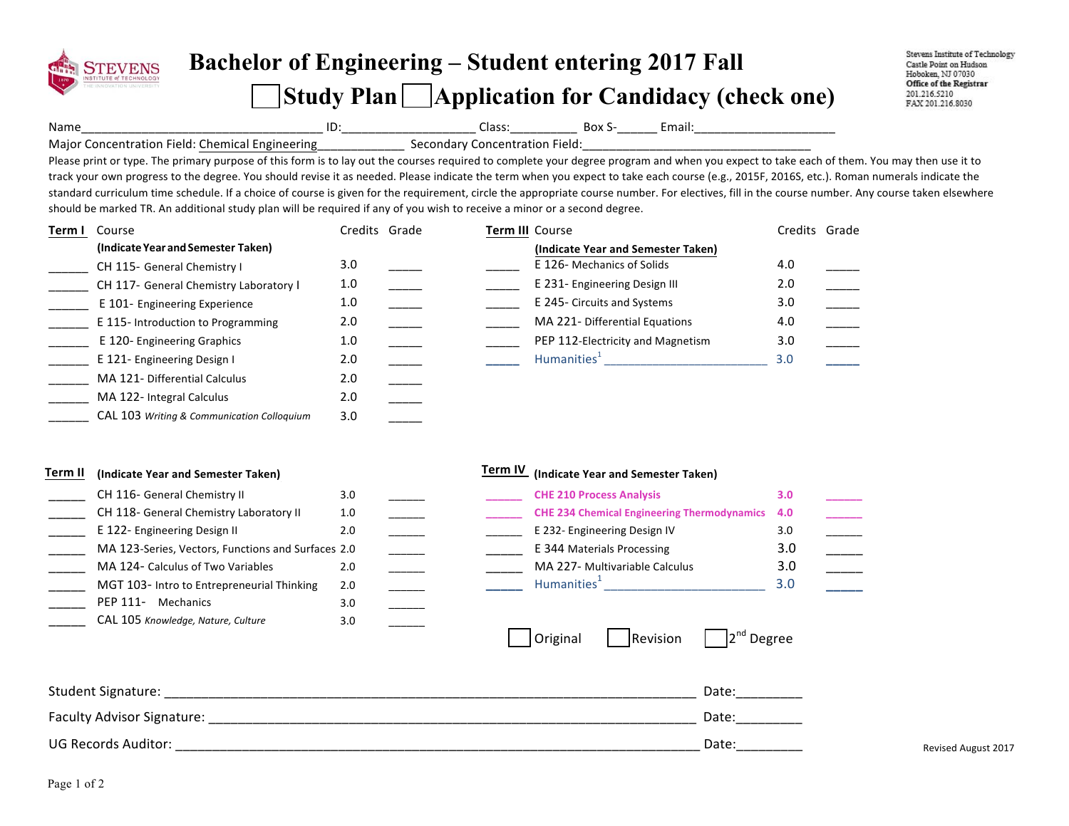

## **Bachelor of Engineering – Student entering 2017 Fall Study Plan Application for Candidacy (check one)**

Stevens Institute of Technology Castle Point on Hudson Hoboken, NJ 07030 Office of the Registrar 201.216.5210 FAX 201.216.8030

Name\_\_\_\_\_\_\_\_\_\_\_\_\_\_\_\_\_\_\_\_\_\_\_\_\_\_\_\_\_\_\_\_\_\_\_\_ ID:\_\_\_\_\_\_\_\_\_\_\_\_\_\_\_\_\_\_\_\_ Class:\_\_\_\_\_\_\_\_\_\_ Box S-\_\_\_\_\_\_ Email:\_\_\_\_\_\_\_\_\_\_\_\_\_\_\_\_\_\_\_\_\_

Major Concentration Field: Chemical Engineering\_\_\_\_\_\_\_\_\_\_\_\_\_\_\_\_\_\_\_\_\_\_\_\_\_\_\_\_\_\_\_\_\_ Secondary Concentration Field:

Please print or type. The primary purpose of this form is to lay out the courses required to complete your degree program and when you expect to take each of them. You may then use it to track your own progress to the degree. You should revise it as needed. Please indicate the term when you expect to take each course (e.g., 2015F, 2016S, etc.). Roman numerals indicate the standard curriculum time schedule. If a choice of course is given for the requirement, circle the appropriate course number. For electives, fill in the course number. Any course taken elsewhere should be marked TR. An additional study plan will be required if any of you wish to receive a minor or a second degree.

| Term I | Course                                     | Credits Grade |  | Term III Course                    |     | Credits Grade |
|--------|--------------------------------------------|---------------|--|------------------------------------|-----|---------------|
|        | (Indicate Year and Semester Taken)         |               |  | (Indicate Year and Semester Taken) |     |               |
|        | CH 115- General Chemistry I                | 3.0           |  | E 126- Mechanics of Solids         | 4.0 |               |
|        | CH 117- General Chemistry Laboratory I     | 1.0           |  | E 231- Engineering Design III      | 2.0 |               |
|        | E 101- Engineering Experience              | 1.0           |  | E 245- Circuits and Systems        | 3.0 |               |
|        | E 115-Introduction to Programming          | 2.0           |  | MA 221- Differential Equations     | 4.0 |               |
|        | E 120- Engineering Graphics                | 1.0           |  | PEP 112-Electricity and Magnetism  | 3.0 |               |
|        | E 121- Engineering Design I                | 2.0           |  | Humanities <sup>1</sup>            | 3.0 |               |
|        | MA 121- Differential Calculus              | 2.0           |  |                                    |     |               |
|        | MA 122- Integral Calculus                  | 2.0           |  |                                    |     |               |
|        | CAL 103 Writing & Communication Colloquium | 3.0           |  |                                    |     |               |

| Term II | (Indicate Year and Semester Taken)                 |     |  | Term IV | (Indicate Year and Semester Taken)                 |     |  |  |  |
|---------|----------------------------------------------------|-----|--|---------|----------------------------------------------------|-----|--|--|--|
|         | CH 116- General Chemistry II                       | 3.0 |  |         | <b>CHE 210 Process Analysis</b>                    | 3.0 |  |  |  |
|         | CH 118- General Chemistry Laboratory II            | 1.0 |  |         | <b>CHE 234 Chemical Engineering Thermodynamics</b> | 4.0 |  |  |  |
|         | E 122- Engineering Design II                       | 2.0 |  |         | E 232- Engineering Design IV                       | 3.0 |  |  |  |
|         | MA 123-Series, Vectors, Functions and Surfaces 2.0 |     |  |         | E 344 Materials Processing                         | 3.0 |  |  |  |
|         | MA 124- Calculus of Two Variables                  | 2.0 |  |         | MA 227- Multivariable Calculus                     | 3.0 |  |  |  |
|         | MGT 103- Intro to Entrepreneurial Thinking         | 2.0 |  |         | Humanities <sup>+</sup>                            | 3.0 |  |  |  |
|         | PEP 111-<br>Mechanics                              | 3.0 |  |         |                                                    |     |  |  |  |

| Original | Revision | $2^{nd}$ Degree |
|----------|----------|-----------------|
|----------|----------|-----------------|

| Student Signature:         | Date<br>_________   |                            |
|----------------------------|---------------------|----------------------------|
| Faculty Advisor Signature: | Date:<br>__________ |                            |
| UG Records Auditor:        | Date<br>______      | <b>Revised August 2017</b> |

3.0 \_\_\_\_\_\_

\_\_\_\_\_ CAL 105 *Knowledge, Nature, Culture*